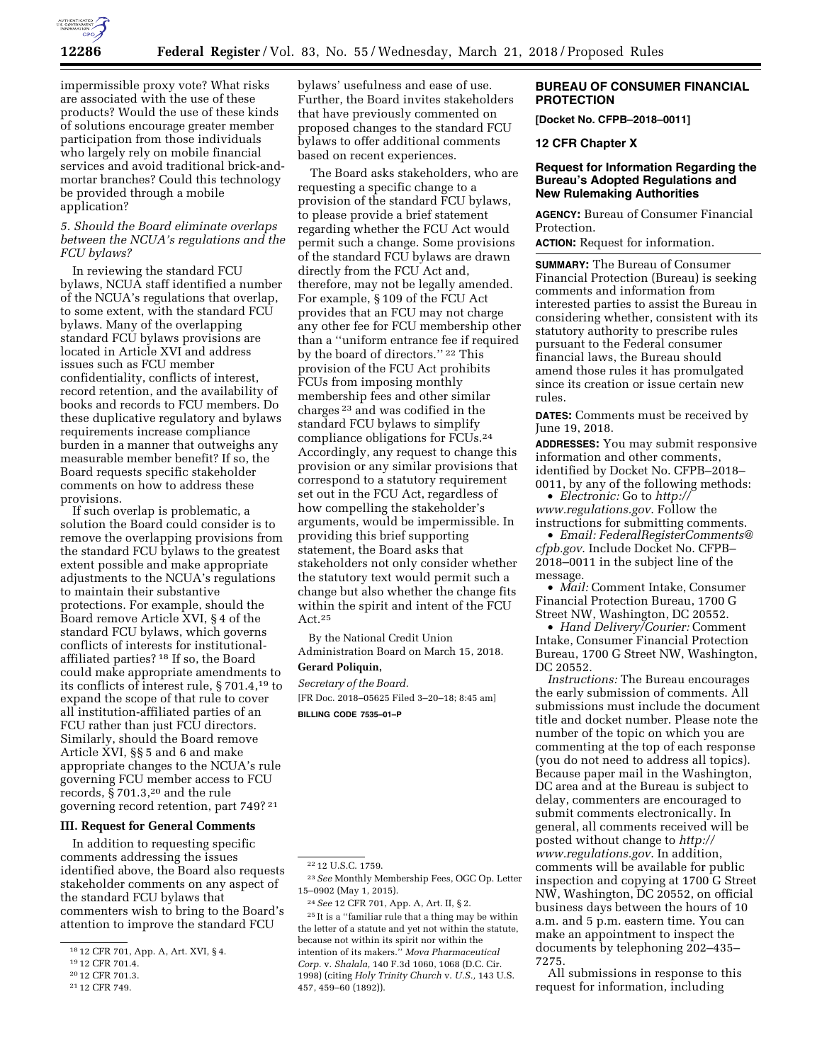

impermissible proxy vote? What risks are associated with the use of these products? Would the use of these kinds of solutions encourage greater member participation from those individuals who largely rely on mobile financial services and avoid traditional brick-andmortar branches? Could this technology be provided through a mobile application?

# *5. Should the Board eliminate overlaps between the NCUA's regulations and the FCU bylaws?*

In reviewing the standard FCU bylaws, NCUA staff identified a number of the NCUA's regulations that overlap, to some extent, with the standard FCU bylaws. Many of the overlapping standard FCU bylaws provisions are located in Article XVI and address issues such as FCU member confidentiality, conflicts of interest, record retention, and the availability of books and records to FCU members. Do these duplicative regulatory and bylaws requirements increase compliance burden in a manner that outweighs any measurable member benefit? If so, the Board requests specific stakeholder comments on how to address these provisions.

If such overlap is problematic, a solution the Board could consider is to remove the overlapping provisions from the standard FCU bylaws to the greatest extent possible and make appropriate adjustments to the NCUA's regulations to maintain their substantive protections. For example, should the Board remove Article XVI, § 4 of the standard FCU bylaws, which governs conflicts of interests for institutionalaffiliated parties? 18 If so, the Board could make appropriate amendments to its conflicts of interest rule, § 701.4,19 to expand the scope of that rule to cover all institution-affiliated parties of an FCU rather than just FCU directors. Similarly, should the Board remove Article XVI, §§ 5 and 6 and make appropriate changes to the NCUA's rule governing FCU member access to FCU records, § 701.3,20 and the rule governing record retention, part 749? 21

#### **III. Request for General Comments**

In addition to requesting specific comments addressing the issues identified above, the Board also requests stakeholder comments on any aspect of the standard FCU bylaws that commenters wish to bring to the Board's attention to improve the standard FCU

21 12 CFR 749.

bylaws' usefulness and ease of use. Further, the Board invites stakeholders that have previously commented on proposed changes to the standard FCU bylaws to offer additional comments based on recent experiences.

The Board asks stakeholders, who are requesting a specific change to a provision of the standard FCU bylaws, to please provide a brief statement regarding whether the FCU Act would permit such a change. Some provisions of the standard FCU bylaws are drawn directly from the FCU Act and, therefore, may not be legally amended. For example, § 109 of the FCU Act provides that an FCU may not charge any other fee for FCU membership other than a ''uniform entrance fee if required by the board of directors.'' 22 This provision of the FCU Act prohibits FCUs from imposing monthly membership fees and other similar charges 23 and was codified in the standard FCU bylaws to simplify compliance obligations for FCUs.24 Accordingly, any request to change this provision or any similar provisions that correspond to a statutory requirement set out in the FCU Act, regardless of how compelling the stakeholder's arguments, would be impermissible. In providing this brief supporting statement, the Board asks that stakeholders not only consider whether the statutory text would permit such a change but also whether the change fits within the spirit and intent of the FCU Act.25

By the National Credit Union Administration Board on March 15, 2018. **Gerard Poliquin,** 

*Secretary of the Board.*  [FR Doc. 2018–05625 Filed 3–20–18; 8:45 am] **BILLING CODE 7535–01–P** 

24*See* 12 CFR 701, App. A, Art. II, § 2. 25 It is a ''familiar rule that a thing may be within the letter of a statute and yet not within the statute, because not within its spirit nor within the intention of its makers.'' *Mova Pharmaceutical Corp.* v. *Shalala,* 140 F.3d 1060, 1068 (D.C. Cir. 1998) (citing *Holy Trinity Church* v. *U.S.,* 143 U.S. 457, 459–60 (1892)).

# **BUREAU OF CONSUMER FINANCIAL PROTECTION**

**[Docket No. CFPB–2018–0011]** 

#### **12 CFR Chapter X**

#### **Request for Information Regarding the Bureau's Adopted Regulations and New Rulemaking Authorities**

**AGENCY:** Bureau of Consumer Financial Protection.

**ACTION:** Request for information.

**SUMMARY:** The Bureau of Consumer Financial Protection (Bureau) is seeking comments and information from interested parties to assist the Bureau in considering whether, consistent with its statutory authority to prescribe rules pursuant to the Federal consumer financial laws, the Bureau should amend those rules it has promulgated since its creation or issue certain new rules.

**DATES:** Comments must be received by June 19, 2018.

**ADDRESSES:** You may submit responsive information and other comments, identified by Docket No. CFPB–2018– 0011, by any of the following methods:

• *Electronic:* Go to *[http://](http://www.regulations.gov) [www.regulations.gov](http://www.regulations.gov)*. Follow the instructions for submitting comments.

• *Email: [FederalRegisterComments@](mailto:FederalRegisterComments@cfpb.gov) [cfpb.gov](mailto:FederalRegisterComments@cfpb.gov)*. Include Docket No. CFPB– 2018–0011 in the subject line of the message.

• *Mail:* Comment Intake, Consumer Financial Protection Bureau, 1700 G Street NW, Washington, DC 20552.

• *Hand Delivery/Courier:* Comment Intake, Consumer Financial Protection Bureau, 1700 G Street NW, Washington, DC 20552.

*Instructions:* The Bureau encourages the early submission of comments. All submissions must include the document title and docket number. Please note the number of the topic on which you are commenting at the top of each response (you do not need to address all topics). Because paper mail in the Washington, DC area and at the Bureau is subject to delay, commenters are encouraged to submit comments electronically. In general, all comments received will be posted without change to *[http://](http://www.regulations.gov) [www.regulations.gov](http://www.regulations.gov)*. In addition, comments will be available for public inspection and copying at 1700 G Street NW, Washington, DC 20552, on official business days between the hours of 10 a.m. and 5 p.m. eastern time. You can make an appointment to inspect the documents by telephoning 202–435– 7275.

All submissions in response to this request for information, including

<sup>18</sup> 12 CFR 701, App. A, Art. XVI, § 4.

<sup>19</sup> 12 CFR 701.4.

<sup>20</sup> 12 CFR 701.3.

<sup>22</sup> 12 U.S.C. 1759.

<sup>23</sup>*See* Monthly Membership Fees, OGC Op. Letter 15–0902 (May 1, 2015).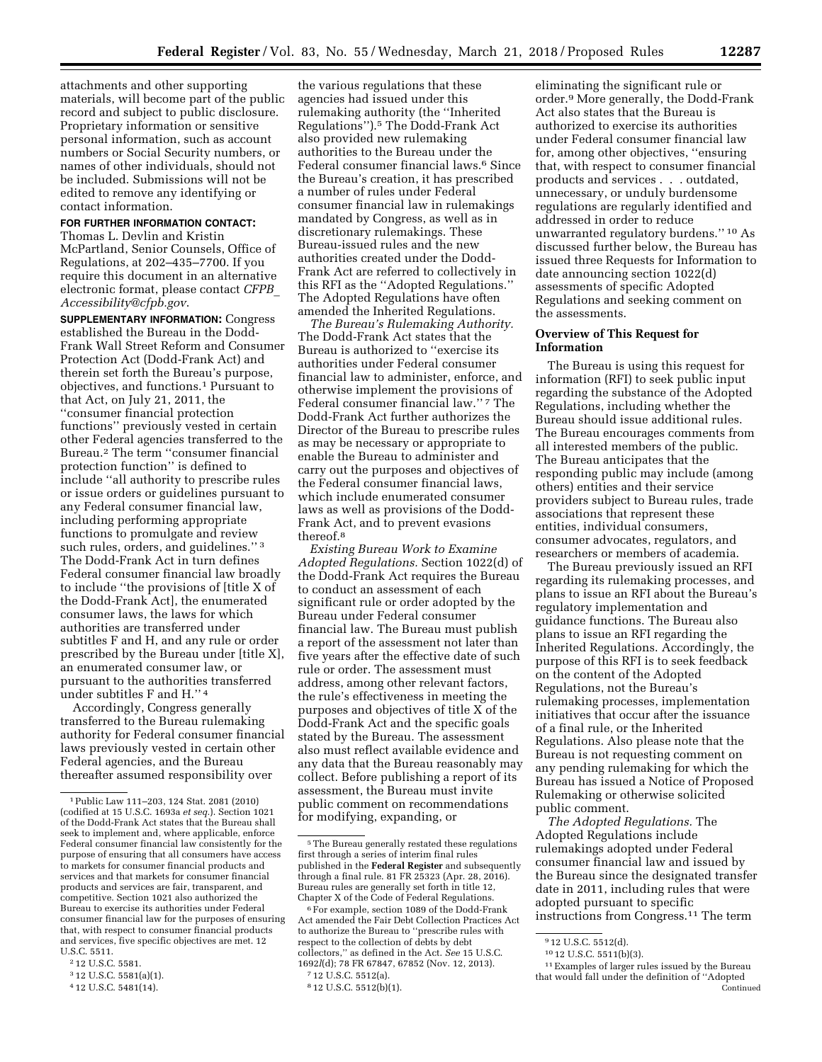attachments and other supporting materials, will become part of the public record and subject to public disclosure. Proprietary information or sensitive personal information, such as account numbers or Social Security numbers, or names of other individuals, should not be included. Submissions will not be edited to remove any identifying or contact information.

# **FOR FURTHER INFORMATION CONTACT:**

Thomas L. Devlin and Kristin McPartland, Senior Counsels, Office of Regulations, at 202–435–7700. If you require this document in an alternative electronic format, please contact *[CFPB](mailto:CFPB_Accessibility@cfpb.gov)*\_ *[Accessibility@cfpb.gov](mailto:CFPB_Accessibility@cfpb.gov)*.

**SUPPLEMENTARY INFORMATION:** Congress established the Bureau in the Dodd-Frank Wall Street Reform and Consumer Protection Act (Dodd-Frank Act) and therein set forth the Bureau's purpose, objectives, and functions.1 Pursuant to that Act, on July 21, 2011, the ''consumer financial protection functions'' previously vested in certain other Federal agencies transferred to the Bureau.2 The term ''consumer financial protection function'' is defined to include ''all authority to prescribe rules or issue orders or guidelines pursuant to any Federal consumer financial law, including performing appropriate functions to promulgate and review such rules, orders, and guidelines."<sup>3</sup> The Dodd-Frank Act in turn defines Federal consumer financial law broadly to include ''the provisions of [title X of the Dodd-Frank Act], the enumerated consumer laws, the laws for which authorities are transferred under subtitles F and H, and any rule or order prescribed by the Bureau under [title X], an enumerated consumer law, or pursuant to the authorities transferred under subtitles F and H.'' 4

Accordingly, Congress generally transferred to the Bureau rulemaking authority for Federal consumer financial laws previously vested in certain other Federal agencies, and the Bureau thereafter assumed responsibility over

3 12 U.S.C. 5581(a)(1).

the various regulations that these agencies had issued under this rulemaking authority (the ''Inherited Regulations'').5 The Dodd-Frank Act also provided new rulemaking authorities to the Bureau under the Federal consumer financial laws.6 Since the Bureau's creation, it has prescribed a number of rules under Federal consumer financial law in rulemakings mandated by Congress, as well as in discretionary rulemakings. These Bureau-issued rules and the new authorities created under the Dodd-Frank Act are referred to collectively in this RFI as the ''Adopted Regulations.'' The Adopted Regulations have often amended the Inherited Regulations.

*The Bureau's Rulemaking Authority.*  The Dodd-Frank Act states that the Bureau is authorized to ''exercise its authorities under Federal consumer financial law to administer, enforce, and otherwise implement the provisions of Federal consumer financial law.'' 7 The Dodd-Frank Act further authorizes the Director of the Bureau to prescribe rules as may be necessary or appropriate to enable the Bureau to administer and carry out the purposes and objectives of the Federal consumer financial laws, which include enumerated consumer laws as well as provisions of the Dodd-Frank Act, and to prevent evasions thereof.8

*Existing Bureau Work to Examine Adopted Regulations.* Section 1022(d) of the Dodd-Frank Act requires the Bureau to conduct an assessment of each significant rule or order adopted by the Bureau under Federal consumer financial law. The Bureau must publish a report of the assessment not later than five years after the effective date of such rule or order. The assessment must address, among other relevant factors, the rule's effectiveness in meeting the purposes and objectives of title X of the Dodd-Frank Act and the specific goals stated by the Bureau. The assessment also must reflect available evidence and any data that the Bureau reasonably may collect. Before publishing a report of its assessment, the Bureau must invite public comment on recommendations for modifying, expanding, or

eliminating the significant rule or order.9 More generally, the Dodd-Frank Act also states that the Bureau is authorized to exercise its authorities under Federal consumer financial law for, among other objectives, ''ensuring that, with respect to consumer financial products and services . . . outdated, unnecessary, or unduly burdensome regulations are regularly identified and addressed in order to reduce unwarranted regulatory burdens.'' 10 As discussed further below, the Bureau has issued three Requests for Information to date announcing section 1022(d) assessments of specific Adopted Regulations and seeking comment on the assessments.

# **Overview of This Request for Information**

The Bureau is using this request for information (RFI) to seek public input regarding the substance of the Adopted Regulations, including whether the Bureau should issue additional rules. The Bureau encourages comments from all interested members of the public. The Bureau anticipates that the responding public may include (among others) entities and their service providers subject to Bureau rules, trade associations that represent these entities, individual consumers, consumer advocates, regulators, and researchers or members of academia.

The Bureau previously issued an RFI regarding its rulemaking processes, and plans to issue an RFI about the Bureau's regulatory implementation and guidance functions. The Bureau also plans to issue an RFI regarding the Inherited Regulations. Accordingly, the purpose of this RFI is to seek feedback on the content of the Adopted Regulations, not the Bureau's rulemaking processes, implementation initiatives that occur after the issuance of a final rule, or the Inherited Regulations. Also please note that the Bureau is not requesting comment on any pending rulemaking for which the Bureau has issued a Notice of Proposed Rulemaking or otherwise solicited public comment.

*The Adopted Regulations.* The Adopted Regulations include rulemakings adopted under Federal consumer financial law and issued by the Bureau since the designated transfer date in 2011, including rules that were adopted pursuant to specific instructions from Congress.11 The term

<sup>1</sup>Public Law 111–203, 124 Stat. 2081 (2010) (codified at 15 U.S.C. 1693a *et seq.*). Section 1021 of the Dodd-Frank Act states that the Bureau shall seek to implement and, where applicable, enforce Federal consumer financial law consistently for the purpose of ensuring that all consumers have access to markets for consumer financial products and services and that markets for consumer financial products and services are fair, transparent, and competitive. Section 1021 also authorized the Bureau to exercise its authorities under Federal consumer financial law for the purposes of ensuring that, with respect to consumer financial products and services, five specific objectives are met. 12 U.S.C. 5511.

<sup>2</sup> 12 U.S.C. 5581.

<sup>4</sup> 12 U.S.C. 5481(14).

<sup>5</sup>The Bureau generally restated these regulations first through a series of interim final rules published in the **Federal Register** and subsequently through a final rule. 81 FR 25323 (Apr. 28, 2016). Bureau rules are generally set forth in title 12, Chapter X of the Code of Federal Regulations.

<sup>6</sup>For example, section 1089 of the Dodd-Frank Act amended the Fair Debt Collection Practices Act to authorize the Bureau to ''prescribe rules with respect to the collection of debts by debt collectors,'' as defined in the Act. *See* 15 U.S.C. 1692*l*(d); 78 FR 67847, 67852 (Nov. 12, 2013).

<sup>7</sup> 12 U.S.C. 5512(a).

<sup>8</sup> 12 U.S.C. 5512(b)(1).

<sup>9</sup> 12 U.S.C. 5512(d).

<sup>10</sup> 12 U.S.C. 5511(b)(3).

<sup>11</sup>Examples of larger rules issued by the Bureau that would fall under the definition of ''Adopted Continued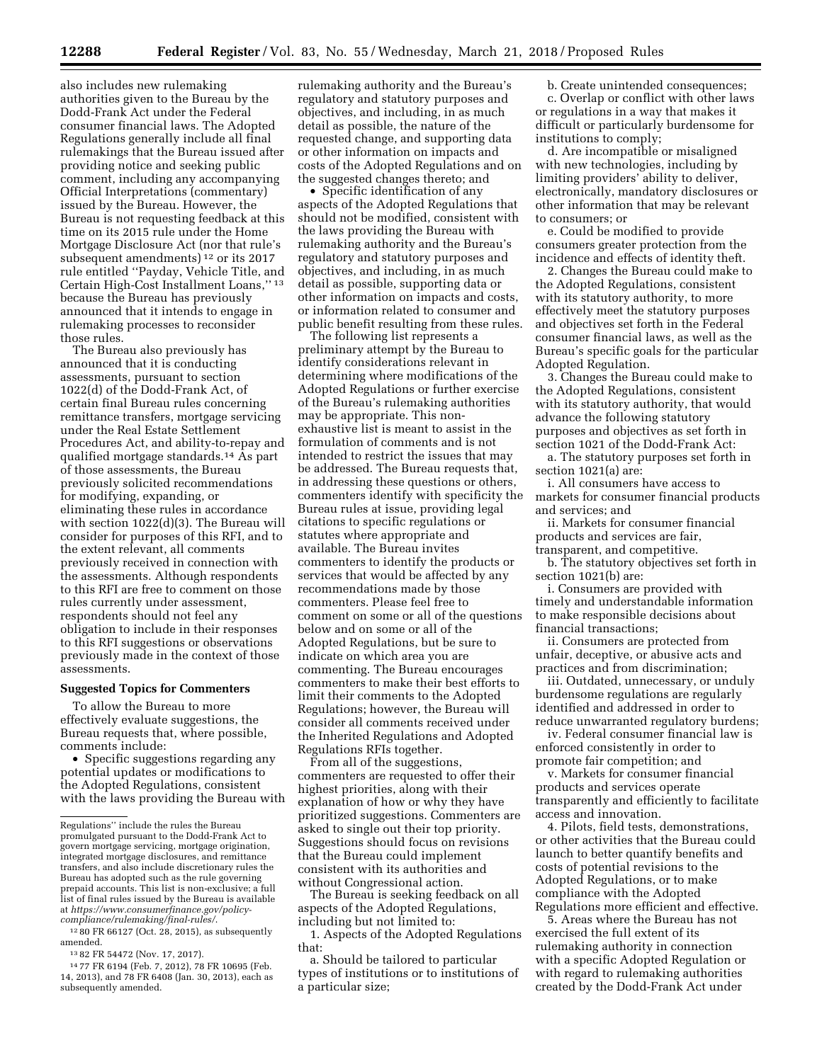also includes new rulemaking authorities given to the Bureau by the Dodd-Frank Act under the Federal consumer financial laws. The Adopted Regulations generally include all final rulemakings that the Bureau issued after providing notice and seeking public comment, including any accompanying Official Interpretations (commentary) issued by the Bureau. However, the Bureau is not requesting feedback at this time on its 2015 rule under the Home Mortgage Disclosure Act (nor that rule's subsequent amendments) 12 or its 2017 rule entitled ''Payday, Vehicle Title, and Certain High-Cost Installment Loans,'' 13 because the Bureau has previously announced that it intends to engage in rulemaking processes to reconsider those rules.

The Bureau also previously has announced that it is conducting assessments, pursuant to section 1022(d) of the Dodd-Frank Act, of certain final Bureau rules concerning remittance transfers, mortgage servicing under the Real Estate Settlement Procedures Act, and ability-to-repay and qualified mortgage standards.14 As part of those assessments, the Bureau previously solicited recommendations for modifying, expanding, or eliminating these rules in accordance with section 1022(d)(3). The Bureau will consider for purposes of this RFI, and to the extent relevant, all comments previously received in connection with the assessments. Although respondents to this RFI are free to comment on those rules currently under assessment, respondents should not feel any obligation to include in their responses to this RFI suggestions or observations previously made in the context of those assessments.

#### **Suggested Topics for Commenters**

To allow the Bureau to more effectively evaluate suggestions, the Bureau requests that, where possible, comments include:

• Specific suggestions regarding any potential updates or modifications to the Adopted Regulations, consistent with the laws providing the Bureau with

12 80 FR 66127 (Oct. 28, 2015), as subsequently amended.

13 82 FR 54472 (Nov. 17, 2017).

14 77 FR 6194 (Feb. 7, 2012), 78 FR 10695 (Feb. 14, 2013), and 78 FR 6408 (Jan. 30, 2013), each as subsequently amended.

rulemaking authority and the Bureau's regulatory and statutory purposes and objectives, and including, in as much detail as possible, the nature of the requested change, and supporting data or other information on impacts and costs of the Adopted Regulations and on the suggested changes thereto; and

• Specific identification of any aspects of the Adopted Regulations that should not be modified, consistent with the laws providing the Bureau with rulemaking authority and the Bureau's regulatory and statutory purposes and objectives, and including, in as much detail as possible, supporting data or other information on impacts and costs, or information related to consumer and public benefit resulting from these rules.

The following list represents a preliminary attempt by the Bureau to identify considerations relevant in determining where modifications of the Adopted Regulations or further exercise of the Bureau's rulemaking authorities may be appropriate. This nonexhaustive list is meant to assist in the formulation of comments and is not intended to restrict the issues that may be addressed. The Bureau requests that, in addressing these questions or others, commenters identify with specificity the Bureau rules at issue, providing legal citations to specific regulations or statutes where appropriate and available. The Bureau invites commenters to identify the products or services that would be affected by any recommendations made by those commenters. Please feel free to comment on some or all of the questions below and on some or all of the Adopted Regulations, but be sure to indicate on which area you are commenting. The Bureau encourages commenters to make their best efforts to limit their comments to the Adopted Regulations; however, the Bureau will consider all comments received under the Inherited Regulations and Adopted Regulations RFIs together.

From all of the suggestions, commenters are requested to offer their highest priorities, along with their explanation of how or why they have prioritized suggestions. Commenters are asked to single out their top priority. Suggestions should focus on revisions that the Bureau could implement consistent with its authorities and without Congressional action.

The Bureau is seeking feedback on all aspects of the Adopted Regulations, including but not limited to:

1. Aspects of the Adopted Regulations that:

a. Should be tailored to particular types of institutions or to institutions of a particular size;

b. Create unintended consequences;

c. Overlap or conflict with other laws or regulations in a way that makes it difficult or particularly burdensome for institutions to comply;

d. Are incompatible or misaligned with new technologies, including by limiting providers' ability to deliver, electronically, mandatory disclosures or other information that may be relevant to consumers; or

e. Could be modified to provide consumers greater protection from the incidence and effects of identity theft.

2. Changes the Bureau could make to the Adopted Regulations, consistent with its statutory authority, to more effectively meet the statutory purposes and objectives set forth in the Federal consumer financial laws, as well as the Bureau's specific goals for the particular Adopted Regulation.

3. Changes the Bureau could make to the Adopted Regulations, consistent with its statutory authority, that would advance the following statutory purposes and objectives as set forth in section 1021 of the Dodd-Frank Act:

a. The statutory purposes set forth in section 1021(a) are:

i. All consumers have access to markets for consumer financial products and services; and

ii. Markets for consumer financial products and services are fair, transparent, and competitive.

b. The statutory objectives set forth in section 1021(b) are:

i. Consumers are provided with timely and understandable information to make responsible decisions about financial transactions;

ii. Consumers are protected from unfair, deceptive, or abusive acts and practices and from discrimination;

iii. Outdated, unnecessary, or unduly burdensome regulations are regularly identified and addressed in order to reduce unwarranted regulatory burdens;

iv. Federal consumer financial law is enforced consistently in order to promote fair competition; and

v. Markets for consumer financial products and services operate transparently and efficiently to facilitate access and innovation.

4. Pilots, field tests, demonstrations, or other activities that the Bureau could launch to better quantify benefits and costs of potential revisions to the Adopted Regulations, or to make compliance with the Adopted Regulations more efficient and effective.

5. Areas where the Bureau has not exercised the full extent of its rulemaking authority in connection with a specific Adopted Regulation or with regard to rulemaking authorities created by the Dodd-Frank Act under

Regulations'' include the rules the Bureau promulgated pursuant to the Dodd-Frank Act to govern mortgage servicing, mortgage origination, integrated mortgage disclosures, and remittance transfers, and also include discretionary rules the Bureau has adopted such as the rule governing prepaid accounts. This list is non-exclusive; a full list of final rules issued by the Bureau is available at *[https://www.consumerfinance.gov/policy](https://www.consumerfinance.gov/policy-compliance/rulemaking/final-rules/)[compliance/rulemaking/final-rules/](https://www.consumerfinance.gov/policy-compliance/rulemaking/final-rules/)*.